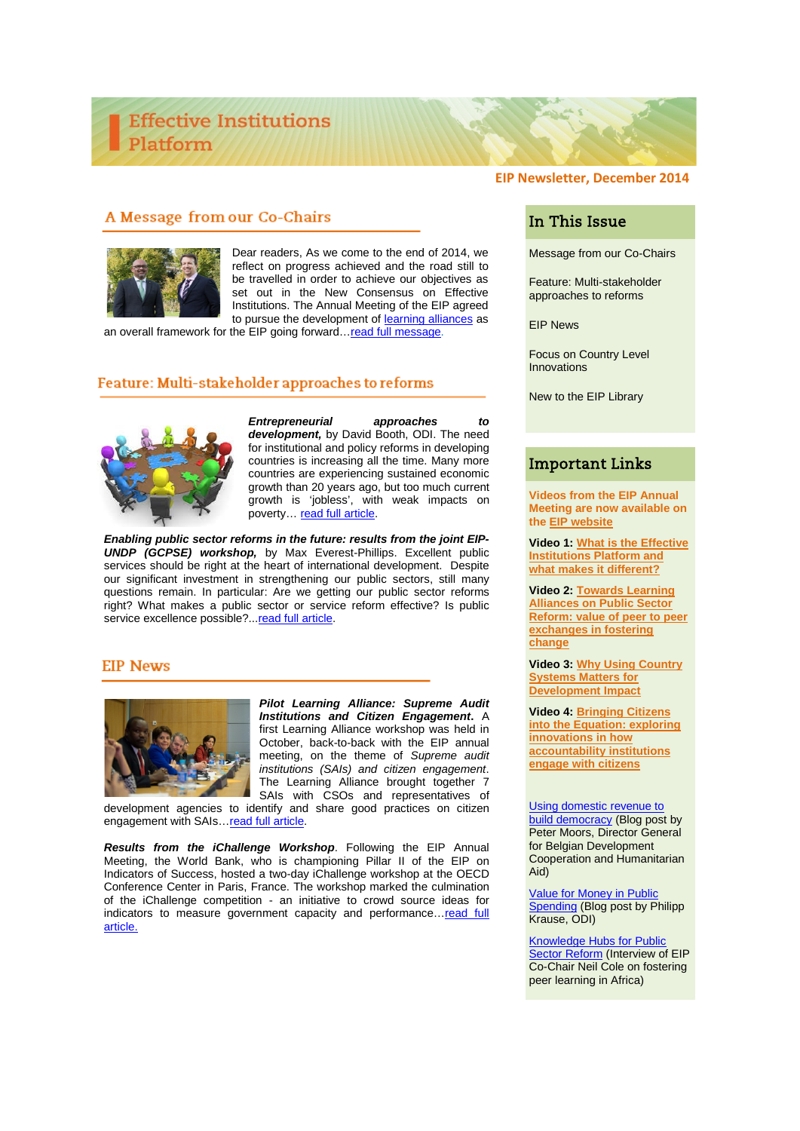# **EIP Newsletter, December 2014**

## A Message from our Co-Chairs



Dear readers, As we come to the end of 2014, we reflect on progress achieved and the road still to be travelled in order to achieve our objectives as set out in the New Consensus on Effective Institutions. The Annual Meeting of the EIP agreed to pursue the development of [learning alliances](http://www.effectiveinstitutions.org/pillars/) as

an overall framework for the EIP going forward... read full message.

### Feature: Multi-stakeholder approaches to reforms



*Entrepreneurial approaches to development,* by David Booth, ODI. The need for institutional and policy reforms in developing countries is increasing all the time. Many more countries are experiencing sustained economic growth than 20 years ago, but too much current growth is 'jobless', with weak impacts on poverty… [read full article.](http://www.effectiveinstitutions.org/newsevents/Making%20reform%20happen%20David%20Booth.pdf)

*Enabling public sector reforms in the future: results from the joint EIP-UNDP (GCPSE) workshop,* by Max Everest-Phillips. Excellent public services should be right at the heart of international development. Despite our significant investment in strengthening our public sectors, still many questions remain. In particular: Are we getting our public sector reforms right? What makes a public sector or service reform effective? Is public service excellence possible?..[.read full article.](http://www.effectiveinstitutions.org/newsevents/Public%20Sector%20Reform%20Max%20Everest%20Phillips.pdf)

### **EIP News**



*[Pilot Learning Alliance: Supreme](http://www.effectiveinstitutions.org/newsevents/EIP%20Mexico%20Country%20Systems.pdf) Audit Institutions and Citizen Engagement***.** A first Learning Alliance workshop was held in October, back-to-back with the EIP annual meeting, on the theme of *Supreme audit institutions (SAIs) and citizen engagement*. The Learning Alliance brought together 7 SAIs with CSOs and representatives of

development agencies to identify and share good practices on citizen engagement with SAIs[…read full article.](http://www.effectiveinstitutions.org/newsevents/EIP%20News%20-%20SAI%20Learning%20Alliance.pdf)

*Results from the iChallenge Workshop*. Following the EIP Annual Meeting, the World Bank, who is championing Pillar II of the EIP on Indicators of Success, hosted a two-day iChallenge workshop at the OECD Conference Center in Paris, France. The workshop marked the culmination of the iChallenge competition - an initiative to crowd source ideas for indicators to measure government capacity and performance...read full [article.](http://www.effectiveinstitutions.org/newsevents/EIP%20News%20-%20ISPMS.pdf)

# In This Issue

Message from our Co-Chairs

Feature: Multi-stakeholder approaches to reforms

EIP News

Focus on Country Level Innovations

New to the EIP Library

## Important Links

**Videos from the EIP Annual Meeting are now available on the [EIP website](http://www.effectiveinstitutions.org/)**

**Video 1: [What is the Effective](https://youtu.be/qUdpkEZfy9w)  [Institutions Platform and](https://youtu.be/qUdpkEZfy9w)  [what makes it different?](https://youtu.be/qUdpkEZfy9w)**

**Video 2: [Towards Learning](http://youtu.be/s3DlLJgZrxc)  [Alliances on Public Sector](http://youtu.be/s3DlLJgZrxc)  [Reform: value of peer to peer](http://youtu.be/s3DlLJgZrxc)  [exchanges in fostering](http://youtu.be/s3DlLJgZrxc)  [change](http://youtu.be/s3DlLJgZrxc)**

**Video 3: [Why Using Country](http://youtu.be/OOcoiE5m3HQ)  [Systems Matters for](http://youtu.be/OOcoiE5m3HQ)  [Development Impact](http://youtu.be/OOcoiE5m3HQ)**

**Video 4: [Bringing Citizens](http://youtu.be/5n3WcJQoW5Y)  [into the Equation: exploring](http://youtu.be/5n3WcJQoW5Y)  [innovations in how](http://youtu.be/5n3WcJQoW5Y)  [accountability institutions](http://youtu.be/5n3WcJQoW5Y)  [engage with citizens](http://youtu.be/5n3WcJQoW5Y)**

[Using domestic revenue to](http://devcooperation.org/2014/09/08/using-domestic-revenue-to-build-democracy/)  [build democracy](http://devcooperation.org/2014/09/08/using-domestic-revenue-to-build-democracy/) (Blog post by Peter Moors, Director General for Belgian Development Cooperation and Humanitarian Aid)

[Value for Money in Public](http://blog-pfm.imf.org/pfmblog/2014/11/value-for-money-in-african-public-spending.html)  **[Spending](http://blog-pfm.imf.org/pfmblog/2014/11/value-for-money-in-african-public-spending.html) (Blog post by Philipp)** Krause, ODI)

[Knowledge Hubs for Public](http://www.cabri-sbo.org/resources/news/977-neil-cole-we-don-t-need-best-practices-but-good-practices-adapted-to-the-specific-context)  [Sector Reform](http://www.cabri-sbo.org/resources/news/977-neil-cole-we-don-t-need-best-practices-but-good-practices-adapted-to-the-specific-context) (Interview of EIP Co-Chair Neil Cole on fostering peer learning in Africa)